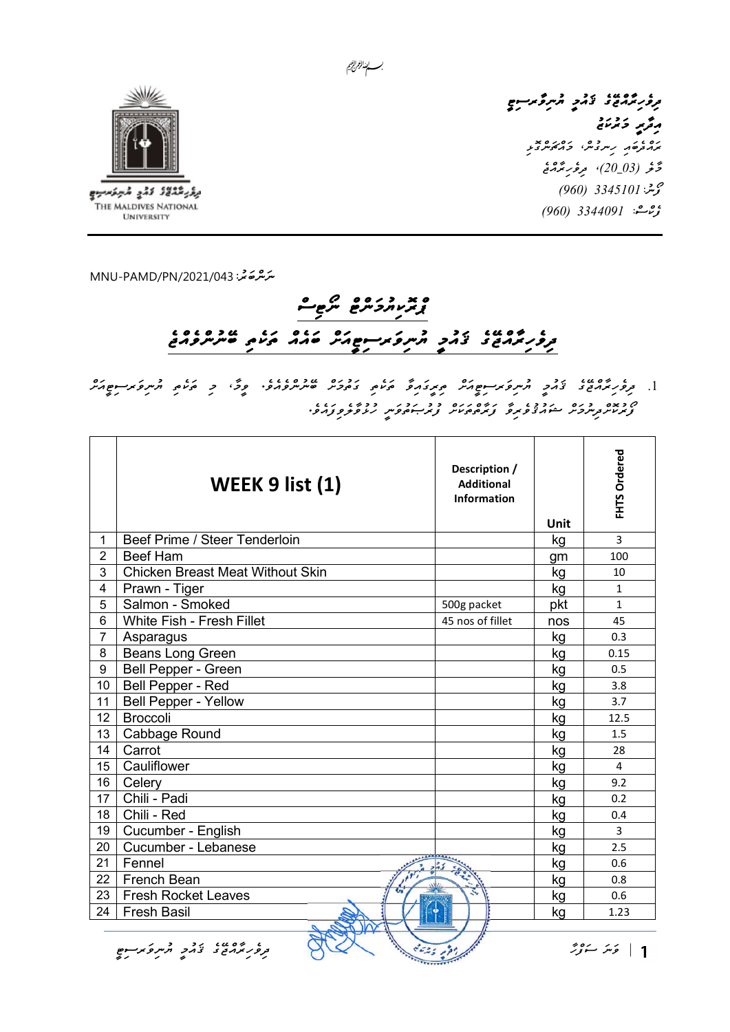

برقر مثلاثاذ ادلاج المبركسيج THE MALDIVES NATIONAL **UNIVERSITY** 

، دەي، بەد<br>برور ترمرو تەرىپ مەس گەرسىم رۇپر دىرىنى ده ،<br>پروتوړو، رسروس، وروکوسرونو <u>ۇغرار 20\_03)، موفورىڭدىمى</u> مې شه: 3345101 (960) ې هغې 1960) 3344091

ﯩ*ﯩﺰﯨ*ﯘﻣﯘ<sup>ﻳ</sup>ﻰ: MNU-PAMD/PN/2021/043

## 

.1 ދިވެހިރާއްޖޭގެ ޤައުމީ ޔުނިވަރސިޓީއަށް ތިރީގައިވާ ތަކެތި ގަތުމަށް ބޭނުންވެއެވ.ެ ވީމ،ާ މި ތަކެތި ޔުނިވަރސިޓީއަށް ފޯރުކޮށްދިނުމަށް ޝައުޤުވެރިވާ ފަރާތްތަކަށް ފުރުޞަތުވަނީ ހުޅުވާލެވިފައެވ.ެ

|                | WEEK 9 list (1)                         | Description /<br><b>Additional</b><br><b>Information</b> | <b>Unit</b> | FHTS Ordered   |
|----------------|-----------------------------------------|----------------------------------------------------------|-------------|----------------|
| $\mathbf{1}$   | Beef Prime / Steer Tenderloin           |                                                          | kg          | $\overline{3}$ |
| $\overline{2}$ | <b>Beef Ham</b>                         |                                                          | gm          | 100            |
| 3              | <b>Chicken Breast Meat Without Skin</b> |                                                          | kg          | 10             |
| 4              | Prawn - Tiger                           |                                                          | kg          | 1              |
| 5              | Salmon - Smoked                         | 500g packet                                              | pkt         | $\mathbf{1}$   |
| 6              | White Fish - Fresh Fillet               | 45 nos of fillet                                         | nos         | 45             |
| $\overline{7}$ | Asparagus                               |                                                          | kg          | 0.3            |
| 8              | <b>Beans Long Green</b>                 |                                                          | kg          | 0.15           |
| 9              | Bell Pepper - Green                     |                                                          | kg          | 0.5            |
| 10             | Bell Pepper - Red                       |                                                          | kg          | 3.8            |
| 11             | <b>Bell Pepper - Yellow</b>             |                                                          | kg          | 3.7            |
| 12             | <b>Broccoli</b>                         |                                                          | kg          | 12.5           |
| 13             | Cabbage Round                           |                                                          | kg          | 1.5            |
| 14             | Carrot                                  |                                                          | kg          | 28             |
| 15             | Cauliflower                             |                                                          | kg          | 4              |
| 16             | Celery                                  |                                                          | kg          | 9.2            |
| 17             | Chili - Padi                            |                                                          | kg          | 0.2            |
| 18             | Chili - Red                             |                                                          | kg          | 0.4            |
| 19             | Cucumber - English                      |                                                          | kg          | 3              |
| 20             | Cucumber - Lebanese                     |                                                          | kg          | 2.5            |
| 21             | Fennel                                  |                                                          | kg          | 0.6            |
| 22             | French Bean                             |                                                          | kg          | 0.8            |
| 23             | <b>Fresh Rocket Leaves</b>              |                                                          | kg          | 0.6            |
| 24             | <b>Fresh Basil</b>                      |                                                          | kg          | 1.23           |
|                | Ó                                       |                                                          |             |                |

| كَتْتُ سَوَّرٌ ۖ مِنْ الْمَرْدِينَ ﴾ [الله عن المريخ المريخ المريخ المريخ المريخ المريخ المريخ المريخ المريخ المريخ المريخ المريخ المريخ المريخ المريخ المريخ المريخ المريخ المريخ المريخ المريخ المريخ المريخ المريخ المري

بسسا الزالج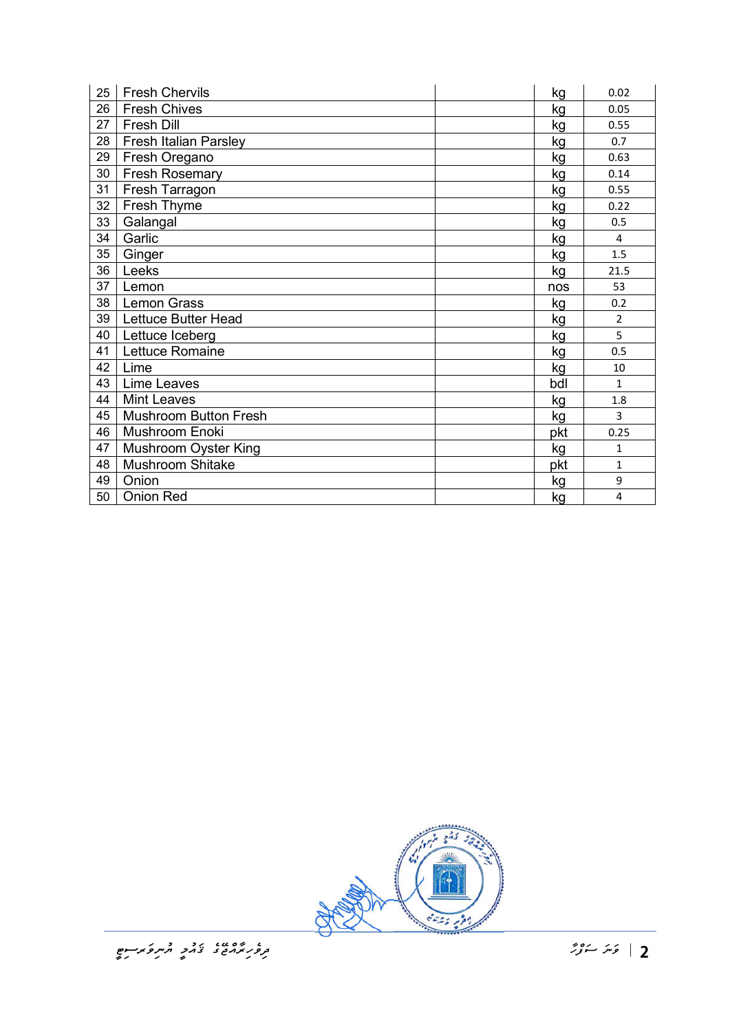| 25 | <b>Fresh Chervils</b>        | kg   | 0.02           |
|----|------------------------------|------|----------------|
| 26 | <b>Fresh Chives</b>          | kg   | 0.05           |
| 27 | Fresh Dill                   | kg   | 0.55           |
| 28 | Fresh Italian Parsley        | kg   | 0.7            |
| 29 | Fresh Oregano                | kg   | 0.63           |
| 30 | <b>Fresh Rosemary</b>        | kg   | 0.14           |
| 31 | Fresh Tarragon               | kg   | 0.55           |
| 32 | Fresh Thyme                  | kg   | 0.22           |
| 33 | Galangal                     | kg   | 0.5            |
| 34 | Garlic                       | kg   | $\overline{4}$ |
| 35 | Ginger                       | kg   | 1.5            |
| 36 | Leeks                        | kg   | 21.5           |
| 37 | Lemon                        | nos  | 53             |
| 38 | <b>Lemon Grass</b>           | kg   | 0.2            |
| 39 | Lettuce Butter Head          | kg   | $\overline{2}$ |
| 40 | Lettuce Iceberg              | kg   | 5              |
| 41 | Lettuce Romaine              | kg   | 0.5            |
| 42 | Lime                         | kg   | 10             |
| 43 | Lime Leaves                  | Ibdl | $\mathbf{1}$   |
| 44 | <b>Mint Leaves</b>           | kg   | 1.8            |
| 45 | <b>Mushroom Button Fresh</b> | kg   | 3              |
| 46 | Mushroom Enoki               | pkt  | 0.25           |
| 47 | Mushroom Oyster King         | kg   | $\mathbf{1}$   |
| 48 | <b>Mushroom Shitake</b>      | pkt  | $\mathbf{1}$   |
| 49 | Onion                        | kg   | 9              |
| 50 |                              |      |                |

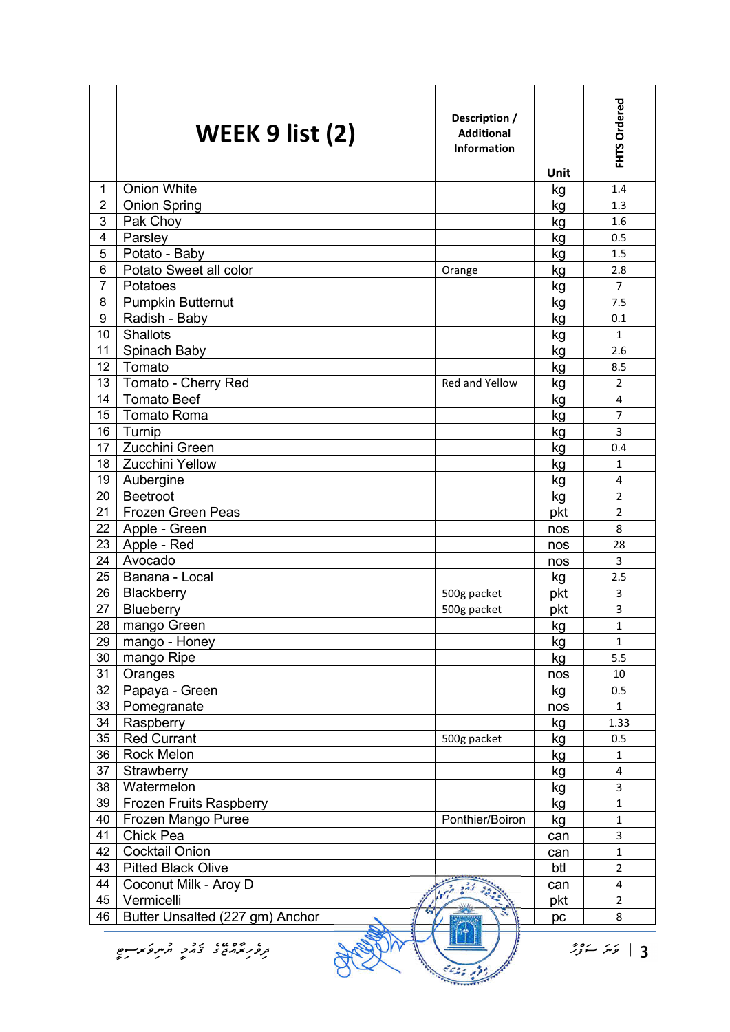|                 | WEEK 9 list (2)                 | Description /<br><b>Additional</b><br><b>Information</b> | <b>Unit</b> | FHTS Ordered        |
|-----------------|---------------------------------|----------------------------------------------------------|-------------|---------------------|
| 1               | <b>Onion White</b>              |                                                          | kg          | 1.4                 |
| $\overline{2}$  | <b>Onion Spring</b>             |                                                          | kg          | 1.3                 |
| 3               | Pak Choy                        |                                                          | kg          | 1.6                 |
| 4               | Parsley                         |                                                          |             | 0.5                 |
| 5               | Potato - Baby                   |                                                          | kg          | 1.5                 |
| $6\phantom{1}$  | Potato Sweet all color          |                                                          | kg<br>kg    | 2.8                 |
| 7               | Potatoes                        | Orange                                                   | kg          | $\overline{7}$      |
| 8               | <b>Pumpkin Butternut</b>        |                                                          | kg          | 7.5                 |
| 9               | Radish - Baby                   |                                                          | kg          | 0.1                 |
| 10              | <b>Shallots</b>                 |                                                          |             | $\mathbf{1}$        |
| 11              | Spinach Baby                    |                                                          | kg          | 2.6                 |
| 12 <sub>2</sub> | Tomato                          |                                                          | kg          | 8.5                 |
| 13              | Tomato - Cherry Red             | Red and Yellow                                           | kg          | $\overline{2}$      |
| 14              | <b>Tomato Beef</b>              |                                                          | kg          |                     |
| 15              |                                 |                                                          | kg          | 4<br>$\overline{7}$ |
|                 | <b>Tomato Roma</b>              |                                                          | kg          |                     |
| 16              | Turnip                          |                                                          | kg          | 3                   |
| 17              | Zucchini Green                  |                                                          | kg          | 0.4                 |
| 18              | <b>Zucchini Yellow</b>          |                                                          | kg          | $\mathbf{1}$        |
| 19              | Aubergine                       |                                                          | kg          | 4                   |
| 20              | Beetroot                        |                                                          | kg          | $\overline{2}$      |
| 21              | <b>Frozen Green Peas</b>        |                                                          | pkt         | $\overline{2}$      |
| 22              | Apple - Green                   |                                                          | nos         | 8                   |
| 23              | Apple - Red                     |                                                          | nos         | 28                  |
| 24              | Avocado                         |                                                          | nos         | 3                   |
| 25              | Banana - Local                  |                                                          | kg          | 2.5                 |
| 26              | Blackberry                      | 500g packet                                              | pkt         | 3                   |
| 27              | Blueberry                       | 500g packet                                              | pkt         | 3                   |
| 28              | mango Green                     |                                                          | kg          | $\mathbf{1}$        |
| 29              | mango - Honey                   |                                                          | kg          | $\mathbf{1}$        |
| 30              | mango Ripe                      |                                                          | kg          | 5.5                 |
| 31              | Oranges                         |                                                          | nos         | 10                  |
| 32              | Papaya - Green                  |                                                          | kg          | 0.5                 |
| 33              | Pomegranate                     |                                                          | nos         | $\mathbf{1}$        |
| 34              | Raspberry                       |                                                          | kg          | 1.33                |
| 35              | <b>Red Currant</b>              | 500g packet                                              | kg          | 0.5                 |
| 36              | Rock Melon                      |                                                          | kg          | $\mathbf{1}$        |
| 37              | Strawberry                      |                                                          | kg          | 4                   |
| 38              | Watermelon                      |                                                          | kg          | 3                   |
| 39              | Frozen Fruits Raspberry         |                                                          | kg          | $\mathbf{1}$        |
| 40              | Frozen Mango Puree              | Ponthier/Boiron                                          | kg          | $\mathbf{1}$        |
| 41              | Chick Pea                       |                                                          | can         | 3                   |
| 42              | <b>Cocktail Onion</b>           |                                                          | can         | $\mathbf{1}$        |
| 43              | <b>Pitted Black Olive</b>       |                                                          | btl         | $\overline{2}$      |
| 44              | Coconut Milk - Aroy D           |                                                          | can         | 4                   |
| 45              | Vermicelli                      |                                                          | pkt         | $\overline{2}$      |
| 46              | Butter Unsalted (227 gm) Anchor |                                                          | pc          | 8                   |
|                 | ۇپىر سۆۋر<br>3                  |                                                          |             |                     |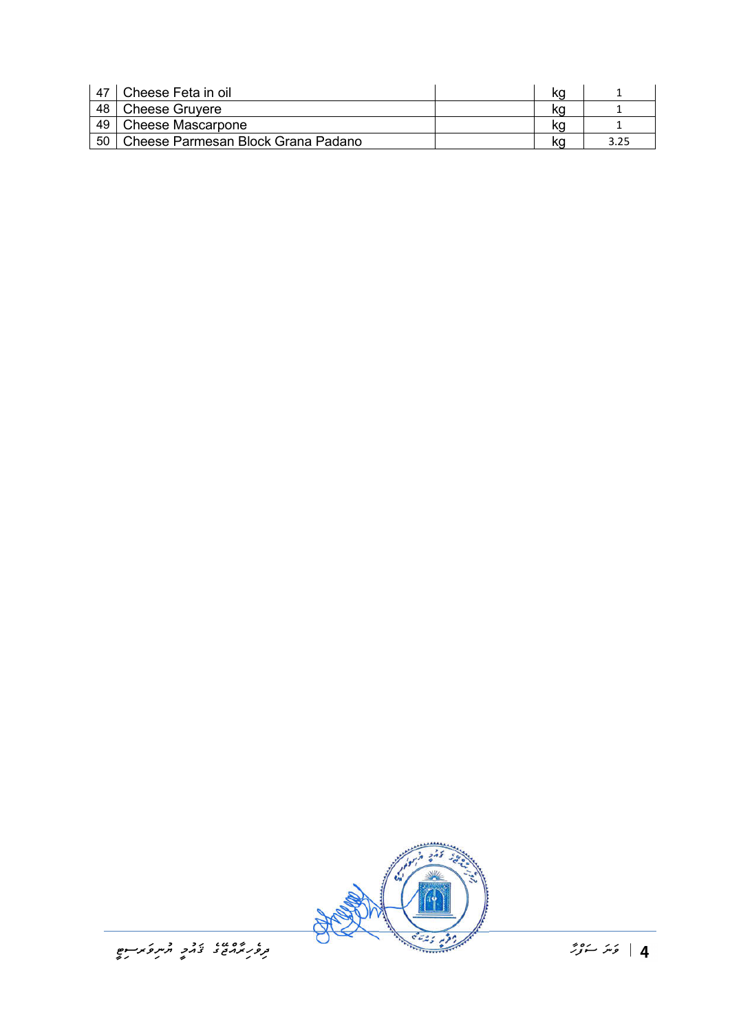| 47  | Cheese Feta in oil                 | ηu |  |
|-----|------------------------------------|----|--|
| 48  | <b>Cheese Gruvere</b>              | ΚO |  |
| 49  | <b>Cheese Mascarpone</b>           |    |  |
| -50 | Cheese Parmesan Block Grana Padano |    |  |

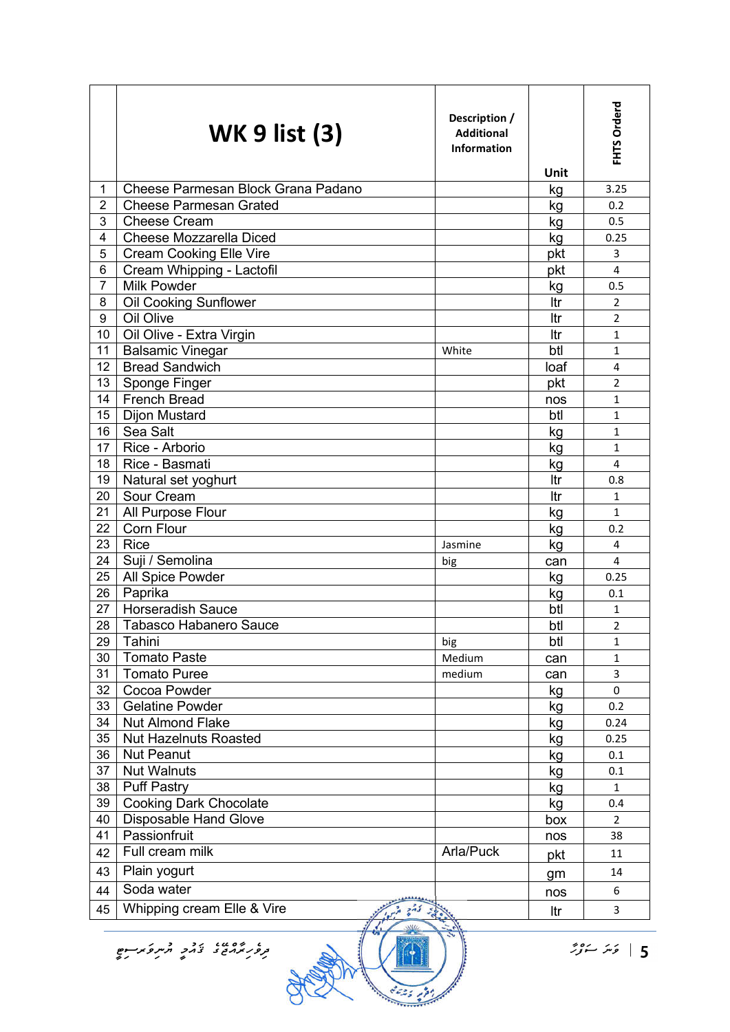|                         | <b>WK 9 list (3)</b>               | Description /<br><b>Additional</b><br><b>Information</b> | Unit | FHTS Orderd    |
|-------------------------|------------------------------------|----------------------------------------------------------|------|----------------|
| 1                       | Cheese Parmesan Block Grana Padano |                                                          | kg   | 3.25           |
| $\overline{2}$          | <b>Cheese Parmesan Grated</b>      |                                                          | kg   | 0.2            |
| 3                       | <b>Cheese Cream</b>                |                                                          | kg   | 0.5            |
| $\overline{\mathbf{4}}$ | Cheese Mozzarella Diced            |                                                          | kg   | 0.25           |
| 5                       | <b>Cream Cooking Elle Vire</b>     |                                                          | pkt  | 3              |
| 6                       | Cream Whipping - Lactofil          |                                                          | pkt  | 4              |
| $\overline{7}$          | <b>Milk Powder</b>                 |                                                          | kg   | 0.5            |
| 8                       | <b>Oil Cooking Sunflower</b>       |                                                          | Itr  | $\overline{2}$ |
| 9                       | Oil Olive                          |                                                          | ltr  | $\overline{2}$ |
| 10                      | Oil Olive - Extra Virgin           |                                                          | Itr  | $\mathbf{1}$   |
| 11                      | <b>Balsamic Vinegar</b>            | White                                                    | btl  | $\mathbf{1}$   |
| 12                      | <b>Bread Sandwich</b>              |                                                          | loaf | 4              |
| 13                      | Sponge Finger                      |                                                          | pkt  | 2              |
| 14                      | <b>French Bread</b>                |                                                          | nos  | $\mathbf{1}$   |
| 15                      | <b>Dijon Mustard</b>               |                                                          | btl  | 1              |
| 16                      | Sea Salt                           |                                                          | kg   | $\mathbf{1}$   |
| 17                      | Rice - Arborio                     |                                                          | kg   | 1              |
| 18                      | Rice - Basmati                     |                                                          | kg   | 4              |
| 19                      | Natural set yoghurt                |                                                          | ltr  | 0.8            |
| 20                      | Sour Cream                         |                                                          | Itr  | $\mathbf{1}$   |
| 21                      | All Purpose Flour                  |                                                          | kg   | $\mathbf{1}$   |
| 22                      | Corn Flour                         |                                                          | kg   | 0.2            |
| 23                      | <b>Rice</b>                        | Jasmine                                                  | kg   | $\overline{4}$ |
| 24                      | Suji / Semolina                    | big                                                      | can  | 4              |
| 25                      | All Spice Powder                   |                                                          | kg   | 0.25           |
| 26                      | Paprika                            |                                                          | kg   | 0.1            |
| 27                      | <b>Horseradish Sauce</b>           |                                                          | btl  | 1              |
| 28                      | <b>Tabasco Habanero Sauce</b>      |                                                          | btl  | 2              |
| 29                      | Tahini                             | big                                                      | btl  | 1              |
| 30                      | <b>Tomato Paste</b>                | Medium                                                   | can  | 1              |
| 31                      | <b>Tomato Puree</b>                | medium                                                   | can  | 3              |
| 32 <sub>2</sub>         | Cocoa Powder                       |                                                          | kg   | $\mathbf 0$    |
| 33                      | <b>Gelatine Powder</b>             |                                                          | kg   | 0.2            |
| 34                      | <b>Nut Almond Flake</b>            |                                                          | kg   | 0.24           |
| 35                      | <b>Nut Hazelnuts Roasted</b>       |                                                          | kg   | 0.25           |
| 36                      | <b>Nut Peanut</b>                  |                                                          | kg   | 0.1            |
| 37                      | <b>Nut Walnuts</b>                 |                                                          | kg   | 0.1            |
| 38                      | <b>Puff Pastry</b>                 |                                                          | kg   | $\mathbf{1}$   |
| 39                      | <b>Cooking Dark Chocolate</b>      |                                                          | kg   | 0.4            |
| 40                      | Disposable Hand Glove              |                                                          | box  | $\overline{2}$ |
| 41                      | Passionfruit                       |                                                          | nos  | 38             |
| 42                      | Full cream milk                    | Arla/Puck                                                | pkt  | 11             |
| 43                      | Plain yogurt                       |                                                          | gm   | 14             |
| 44                      | Soda water                         |                                                          |      | 6              |
| 45                      | Whipping cream Elle & Vire         |                                                          | nos  | 3              |
|                         |                                    |                                                          | Itr  |                |

3525 199

ح ) حَدَّ سَوْرٌ مُسْرِحَدٍ وَسِرِحَدٍ مِسْرِحَدٍ مِسْرِحَدٍ مِسْرِحَدٍ مِسْرِحَدٍ مِسْرِحَدٍ مِسْرِحَدٍ مِسْر<br>15 كَسَرَ سَنْرُ مِسْرِحَدٍ مِسْرِحِيْدٍ مِسْرِحِمِيْدٍ مِسْرِحَدٍ مِسْرِحَدٍ مِسْرِحَدٍ مِسْرِحَدِ مِسْرِحَدِ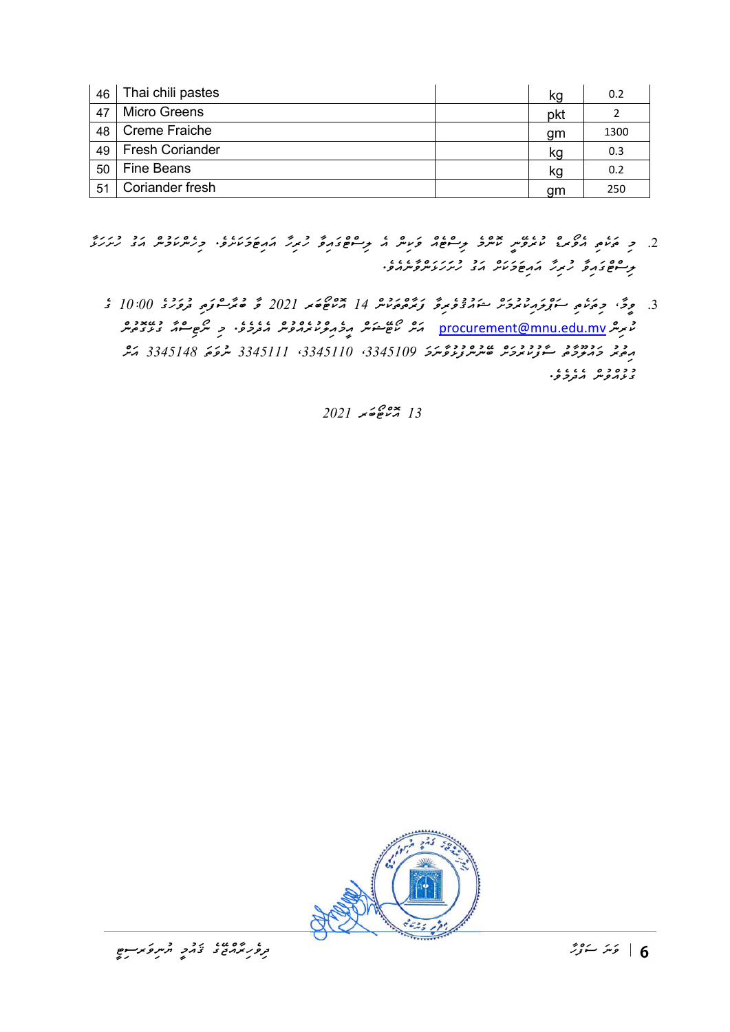| 46 | Thai chili pastes      | kg  | 0.2  |
|----|------------------------|-----|------|
| 47 | <b>Micro Greens</b>    | pkt |      |
| 48 | Creme Fraiche          | gm  | 1300 |
| 49 | <b>Fresh Coriander</b> | kg  | 0.3  |
| 50 | <b>Fine Beans</b>      | kg  | 0.2  |
| 51 | Coriander fresh        | gm  | 250  |

- . כ ביטי גם כנוע עוד עוד כנוע עוד כנוע כנוער כל הפורד המשלמת כמתמכת הב מתמצ ލިސްޓްގައިވާ ހުރިހާ އައިޓަމަކަށް އަގު ހުށަހަޅަންވާނެއެވ.ެ
	- 3. موڭ، جەڭمى سۇنجەر دەرە مۇرۋىرى زەردە 14 ×ەھەر 2021 گەنھىر بوردە 10:00 كەنگەردە يورى 10:00 ك ކުރިން mv.edu.mnu@procurement އަށް ކޯޓޭޝަން އީމެއިލްކުރެއްވުން އެދެމެވ.ެ މި ނޯޓިސްއާ ގުޅޭގޮތުން ﻣِﻣُﻣِﻣِ ﻣِﺩﺣِﻣِﻣِ ﻣِﻳُّﺮِﺩِﺩِﺩِ ﻋَﻮﺭﯨﻴﯘﻳِﺮﯨِّﺮﯨﯜﭘﯜﺭﮔﯩﺮﯨﺘﻰ 3345110، 3345111 ، 3345111 ، 7345148 ، 72 د ده د د د د .<br>د ډرمور و .

 $2021$   $\frac{13}{13}$